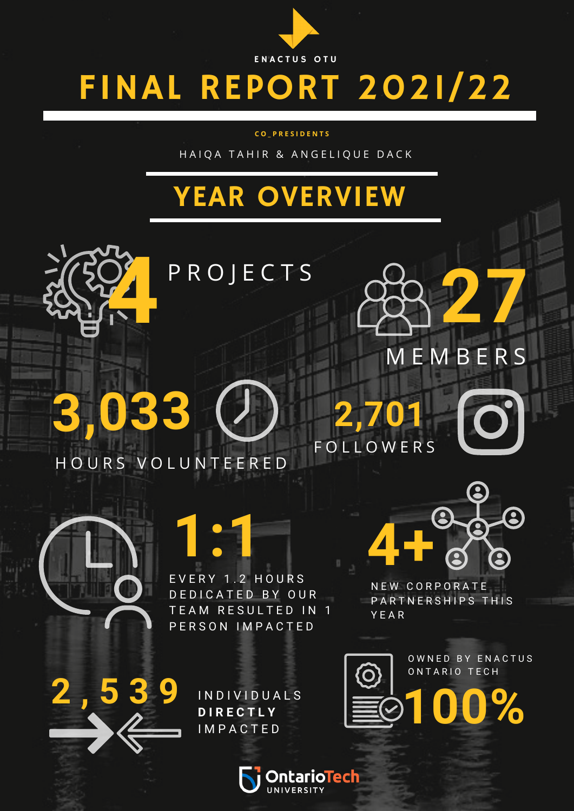

# FINAL REPORT 2021/22

#### **C O \_ P R E S I D E N T S**

HAIQA TAHIR & ANGELIQUE DACK

# YEAR OVERVIEW



P R O J E C T S

H O U R S V O L U N T E E R E D

**3,033**



**1:1** E V E R Y 1 . 2 H O U R S DE D I CATED BY OUR TEAM RESULTED IN 1 P E R S O N I M P A C T E D

Q **4+**  $\bullet$ 

M E M B E R S

**2,701**

**FOLLOWERS** 

**27**

N E W C O R P O R A T E PARTNERSHIPS THIS Y E A R



**2 , 5 3 9** <sup>I</sup> <sup>N</sup> <sup>D</sup> <sup>I</sup> <sup>V</sup> <sup>I</sup> <sup>D</sup> <sup>U</sup> <sup>A</sup> <sup>L</sup> <sup>S</sup> **D I R E C T L Y IMPACTED** 



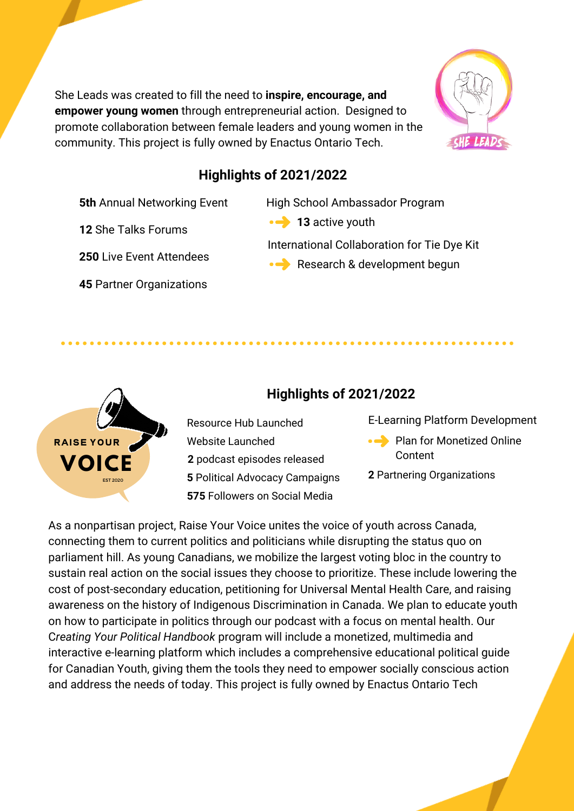She Leads was created to fill the need to **inspire, encourage, and empower young women** through entrepreneurial action. Designed to promote collaboration between female leaders and young women in the community. This project is fully owned by Enactus Ontario Tech.

Resource Hub Launched

**575** Followers on Social Media

**2** podcast episodes released

Website Launched



## **Highlights of 2021/2022**

**5th** Annual Networking Event

**12** She Talks Forums

**250** Live Event Attendees

**45** Partner Organizations

High School Ambassador Program

**G o a l s 13** active youth

**Highlights of 2021/2022**

International Collaboration for Tie Dye Kit

Research & development begun

E-Learning Platform Development

- Plan for Monetized Online **Content**
- 

As a nonpartisan project, Raise Your Voice unites the voice of youth across Canada, connecting them to current politics and politicians while disrupting the status quo on parliament hill. As young Canadians, we mobilize the largest voting bloc in the country to sustain real action on the social issues they choose to prioritize. These include lowering the cost of post-secondary education, petitioning for Universal Mental Health Care, and raising awareness on the history of Indigenous Discrimination in Canada. We plan to educate youth on how to participate in politics through our podcast with a focus on mental health. Our C*reating Your Political Handbook* program will include a monetized, multimedia and interactive e-learning platform which includes a comprehensive educational political guide for Canadian Youth, giving them the tools they need to empower socially conscious action and address the needs of today. This project is fully owned by Enactus Ontario Tech

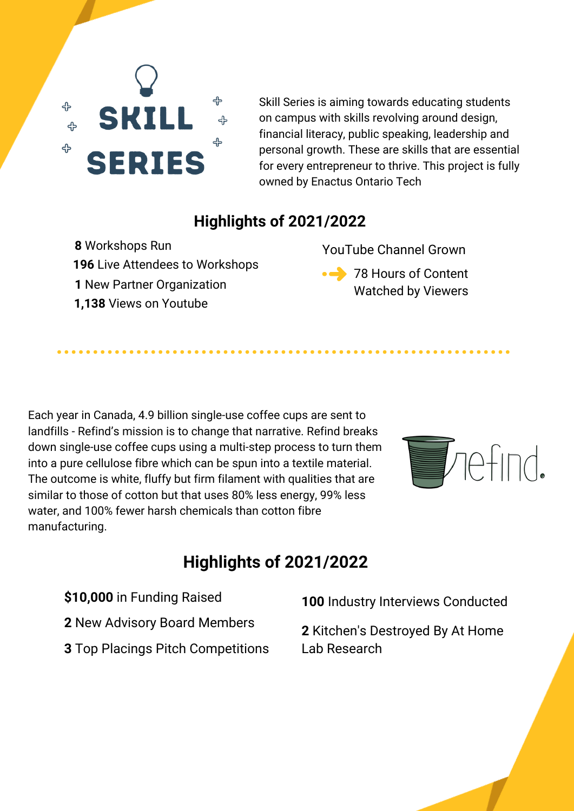

Skill Series is aiming towards educating students on campus with skills revolving around design, financial literacy, public speaking, leadership and personal growth. These are skills that are essential for every entrepreneur to thrive. This project is fully owned by Enactus Ontario Tech

## **Highlights of 2021/2022**

 Live Attendees to Workshops Workshops Run New Partner Organization **1,138** Views on Youtube

YouTube Channel Grown

• <sup>78</sup> Hours of Content Watched by Viewers

Each year in Canada, 4.9 billion single-use coffee cups are sent to landfills - Refind's mission is to change that narrative. Refind breaks down single-use coffee cups using a multi-step process to turn them into a pure cellulose fibre which can be spun into a textile material. The outcome is white, fluffy but firm filament with qualities that are similar to those of cotton but that uses 80% less energy, 99% less water, and 100% fewer harsh chemicals than cotton fibre manufacturing.



## **Highlights of 2021/2022**

- **\$10,000** in Funding Raised
- **2** New Advisory Board Members
- **3** Top Placings Pitch Competitions

**100** Industry Interviews Conducted

**2** Kitchen's Destroyed By At Home Lab Research